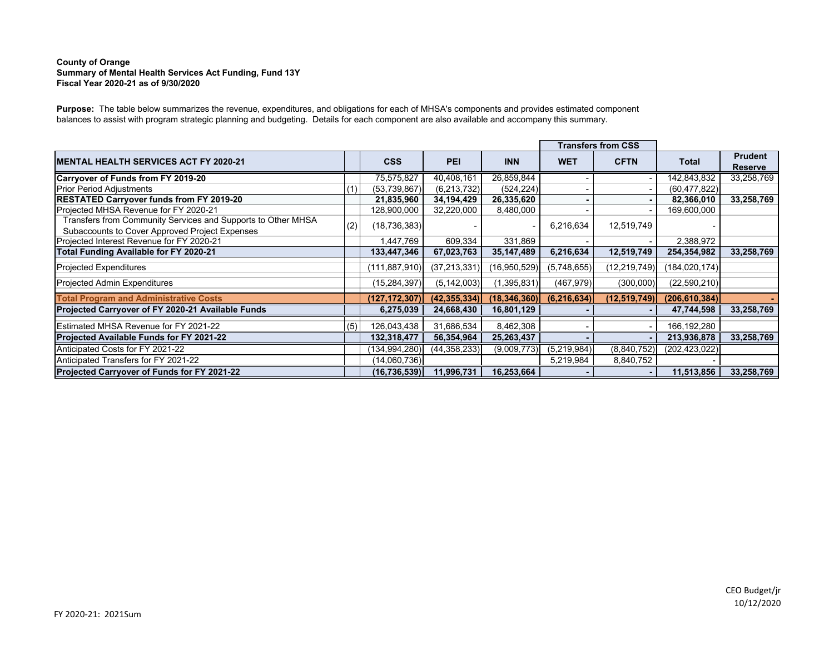#### **County of Orange Summary of Mental Health Services Act Funding, Fund 13Y Fiscal Year 2020-21 as of 9/30/2020**

**Purpose:** The table below summarizes the revenue, expenditures, and obligations for each of MHSA's components and provides estimated component balances to assist with program strategic planning and budgeting. Details for each component are also available and accompany this summary.

|                                                                                                                |     |                 |                |                |               | <b>Transfers from CSS</b> |                 |                                  |
|----------------------------------------------------------------------------------------------------------------|-----|-----------------|----------------|----------------|---------------|---------------------------|-----------------|----------------------------------|
| <b>IMENTAL HEALTH SERVICES ACT FY 2020-21</b>                                                                  |     | <b>CSS</b>      | <b>PEI</b>     | <b>INN</b>     | <b>WET</b>    | <b>CFTN</b>               | Total           | <b>Prudent</b><br><b>Reserve</b> |
| Carryover of Funds from FY 2019-20                                                                             |     | 75,575,827      | 40,408,161     | 26,859,844     |               |                           | 142,843,832     | 33,258,769                       |
| <b>Prior Period Adjustments</b>                                                                                |     | (53, 739, 867)  | (6,213,732)    | (524,224)      |               |                           | (60, 477, 822)  |                                  |
| <b>RESTATED Carryover funds from FY 2019-20</b>                                                                |     | 21,835,960      | 34,194,429     | 26,335,620     |               |                           | 82,366,010      | 33,258,769                       |
| Projected MHSA Revenue for FY 2020-21                                                                          |     | 128,900,000     | 32,220,000     | 8,480,000      |               |                           | 169,600,000     |                                  |
| Transfers from Community Services and Supports to Other MHSA<br>Subaccounts to Cover Approved Project Expenses | (2) | (18, 736, 383)  |                |                | 6,216,634     | 12,519,749                |                 |                                  |
| Projected Interest Revenue for FY 2020-21                                                                      |     | 1,447,769       | 609,334        | 331,869        |               |                           | 2,388,972       |                                  |
| Total Funding Available for FY 2020-21                                                                         |     | 133,447,346     | 67,023,763     | 35, 147, 489   | 6,216,634     | 12,519,749                | 254,354,982     | 33,258,769                       |
| <b>Projected Expenditures</b>                                                                                  |     | (111,887,910)   | (37, 213, 331) | (16,950,529)   | (5,748,655)   | (12, 219, 749)            | (184, 020, 174) |                                  |
| <b>Projected Admin Expenditures</b>                                                                            |     | (15,284,397)    | (5, 142, 003)  | (1,395,831)    | (467, 979)    | (300,000)                 | (22,590,210)    |                                  |
| <b>Total Program and Administrative Costs</b>                                                                  |     | (127, 172, 307) | (42, 355, 334) | (18, 346, 360) | (6, 216, 634) | (12, 519, 749)            | (206, 610, 384) |                                  |
| Projected Carryover of FY 2020-21 Available Funds                                                              |     | 6,275,039       | 24,668,430     | 16,801,129     |               |                           | 47,744,598      | 33,258,769                       |
| Estimated MHSA Revenue for FY 2021-22                                                                          | (5) | 126,043,438     | 31,686,534     | 8,462,308      |               |                           | 166, 192, 280   |                                  |
| <b>Projected Available Funds for FY 2021-22</b>                                                                |     | 132,318,477     | 56,354,964     | 25,263,437     |               | $\blacksquare$            | 213,936,878     | 33,258,769                       |
| Anticipated Costs for FY 2021-22                                                                               |     | (134,994,280)   | (44, 358, 233) | (9,009,773)    | (5,219,984)   | (8,840,752)               | (202, 423, 022) |                                  |
| Anticipated Transfers for FY 2021-22                                                                           |     | (14,060,736)    |                |                | 5,219,984     | 8,840,752                 |                 |                                  |
| Projected Carryover of Funds for FY 2021-22                                                                    |     | (16,736,539)    | 11,996,731     | 16,253,664     |               |                           | 11,513,856      | 33,258,769                       |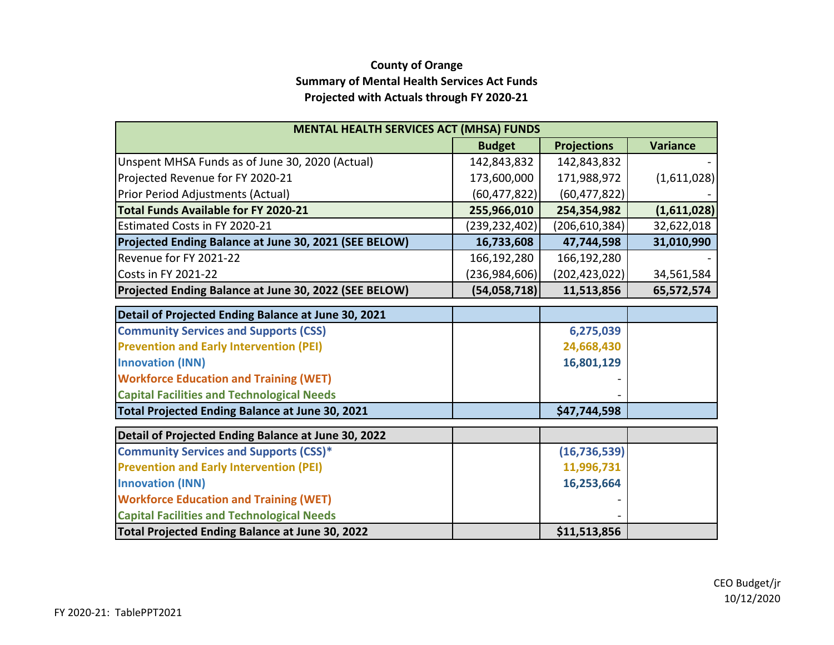# **County of Orange Summary of Mental Health Services Act Funds Projected with Actuals through FY 2020‐21**

| <b>MENTAL HEALTH SERVICES ACT (MHSA) FUNDS</b>        |                 |                    |                 |  |  |  |  |
|-------------------------------------------------------|-----------------|--------------------|-----------------|--|--|--|--|
|                                                       | <b>Budget</b>   | <b>Projections</b> | <b>Variance</b> |  |  |  |  |
| Unspent MHSA Funds as of June 30, 2020 (Actual)       | 142,843,832     | 142,843,832        |                 |  |  |  |  |
| Projected Revenue for FY 2020-21                      | 173,600,000     | 171,988,972        | (1,611,028)     |  |  |  |  |
| Prior Period Adjustments (Actual)                     | (60, 477, 822)  | (60, 477, 822)     |                 |  |  |  |  |
| Total Funds Available for FY 2020-21                  | 255,966,010     | 254,354,982        | (1,611,028)     |  |  |  |  |
| <b>Estimated Costs in FY 2020-21</b>                  | (239, 232, 402) | (206, 610, 384)    | 32,622,018      |  |  |  |  |
| Projected Ending Balance at June 30, 2021 (SEE BELOW) | 16,733,608      | 47,744,598         | 31,010,990      |  |  |  |  |
| Revenue for FY 2021-22                                | 166,192,280     | 166,192,280        |                 |  |  |  |  |
| Costs in FY 2021-22                                   | (236, 984, 606) | (202, 423, 022)    | 34,561,584      |  |  |  |  |
| Projected Ending Balance at June 30, 2022 (SEE BELOW) | (54,058,718)    | 11,513,856         | 65,572,574      |  |  |  |  |
| Detail of Projected Ending Balance at June 30, 2021   |                 |                    |                 |  |  |  |  |
| <b>Community Services and Supports (CSS)</b>          |                 | 6,275,039          |                 |  |  |  |  |
| <b>Prevention and Early Intervention (PEI)</b>        |                 | 24,668,430         |                 |  |  |  |  |
| <b>Innovation (INN)</b>                               |                 | 16,801,129         |                 |  |  |  |  |
| <b>Workforce Education and Training (WET)</b>         |                 |                    |                 |  |  |  |  |
| <b>Capital Facilities and Technological Needs</b>     |                 |                    |                 |  |  |  |  |
| Total Projected Ending Balance at June 30, 2021       |                 | \$47,744,598       |                 |  |  |  |  |
| Detail of Projected Ending Balance at June 30, 2022   |                 |                    |                 |  |  |  |  |
| <b>Community Services and Supports (CSS)*</b>         |                 | (16, 736, 539)     |                 |  |  |  |  |
| <b>Prevention and Early Intervention (PEI)</b>        |                 | 11,996,731         |                 |  |  |  |  |
| <b>Innovation (INN)</b>                               |                 | 16,253,664         |                 |  |  |  |  |
| <b>Workforce Education and Training (WET)</b>         |                 |                    |                 |  |  |  |  |
| <b>Capital Facilities and Technological Needs</b>     |                 |                    |                 |  |  |  |  |
| Total Projected Ending Balance at June 30, 2022       |                 | \$11,513,856       |                 |  |  |  |  |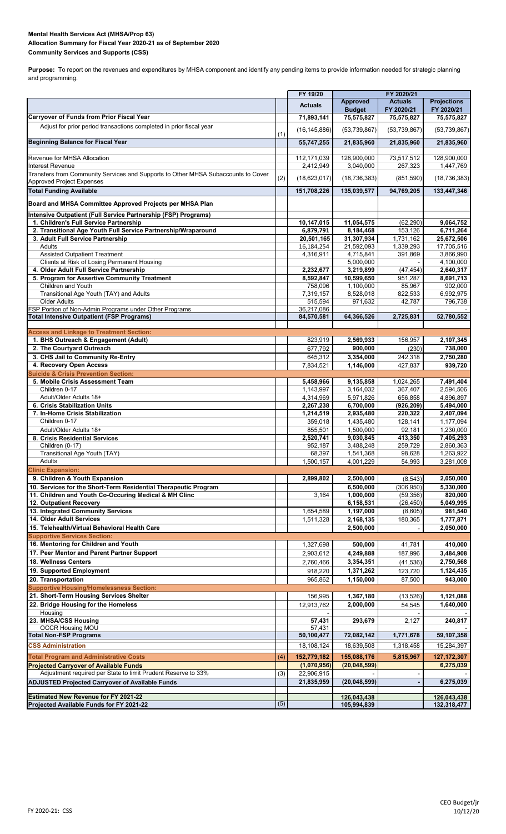#### **Mental Health Services Act (MHSA/Prop 63) Allocation Summary for Fiscal Year 2020-21 as of September 2020 Community Services and Supports (CSS)**

**Purpose:** To report on the revenues and expenditures by MHSA component and identify any pending items to provide information needed for strategic planning and programming.

|                                                                                   |     | FY 19/20       |                 | FY 2020/21     |                    |
|-----------------------------------------------------------------------------------|-----|----------------|-----------------|----------------|--------------------|
|                                                                                   |     | <b>Actuals</b> | <b>Approved</b> | <b>Actuals</b> | <b>Projections</b> |
|                                                                                   |     |                | <b>Budget</b>   | FY 2020/21     | FY 2020/21         |
| <b>Carryover of Funds from Prior Fiscal Year</b>                                  |     | 71,893,141     | 75,575,827      | 75,575,827     | 75,575,827         |
| Adjust for prior period transactions completed in prior fiscal year               |     | (16, 145, 886) | (53, 739, 867)  | (53, 739, 867) | (53, 739, 867)     |
|                                                                                   | (1) |                |                 |                |                    |
| <b>Beginning Balance for Fiscal Year</b>                                          |     | 55,747,255     | 21,835,960      | 21,835,960     | 21,835,960         |
|                                                                                   |     |                |                 |                |                    |
| Revenue for MHSA Allocation                                                       |     | 112,171,039    | 128,900,000     | 73,517,512     | 128,900,000        |
| <b>Interest Revenue</b>                                                           |     | 2,412,949      | 3,040,000       | 267,323        | 1,447,769          |
| Transfers from Community Services and Supports to Other MHSA Subaccounts to Cover | (2) | (18, 623, 017) | (18, 736, 383)  | (851,590)      | (18, 736, 383)     |
| <b>Approved Project Expenses</b>                                                  |     |                |                 |                |                    |
| <b>Total Funding Available</b>                                                    |     | 151,708,226    | 135,039,577     | 94,769,205     | 133,447,346        |
|                                                                                   |     |                |                 |                |                    |
| Board and MHSA Committee Approved Projects per MHSA Plan                          |     |                |                 |                |                    |
| Intensive Outpatient (Full Service Partnership (FSP) Programs)                    |     |                |                 |                |                    |
| 1. Children's Full Service Partnership                                            |     | 10,147,015     | 11,054,575      | (62, 290)      | 9,064,752          |
| 2. Transitional Age Youth Full Service Partnership/Wraparound                     |     | 6,879,791      | 8,184,468       | 153,126        | 6,711,264          |
| 3. Adult Full Service Partnership                                                 |     | 20,501,165     | 31,307,934      | 1,731,162      | 25,672,506         |
| Adults                                                                            |     | 16,184,254     | 21,592,093      | 1,339,293      | 17,705,516         |
| <b>Assisted Outpatient Treatment</b>                                              |     | 4,316,911      |                 | 391,869        | 3,866,990          |
|                                                                                   |     |                | 4,715,841       |                |                    |
| Clients at Risk of Losing Permanent Housing                                       |     |                | 5,000,000       |                | 4,100,000          |
| 4. Older Adult Full Service Partnership                                           |     | 2,232,677      | 3,219,899       | (47, 454)      | 2,640,317          |
| 5. Program for Assertive Community Treatment                                      |     | 8.592.847      | 10,599,650      | 951,287        | 8,691,713          |
| Children and Youth                                                                |     | 758,096        | 1,100,000       | 85,967         | 902,000            |
| Transitional Age Youth (TAY) and Adults                                           |     | 7,319,157      | 8,528,018       | 822,533        | 6,992,975          |
| <b>Older Adults</b>                                                               |     | 515,594        | 971,632         | 42,787         | 796,738            |
| FSP Portion of Non-Admin Programs under Other Programs                            |     | 36,217,086     |                 |                |                    |
| <b>Total Intensive Outpatient (FSP Programs)</b>                                  |     | 84,570,581     | 64,366,526      | 2,725,831      | 52,780,552         |
|                                                                                   |     |                |                 |                |                    |
| <b>Access and Linkage to Treatment Section:</b>                                   |     |                |                 |                |                    |
| 1. BHS Outreach & Engagement (Adult)                                              |     | 823,919        | 2,569,933       | 156,957        | 2,107,345          |
|                                                                                   |     |                |                 |                |                    |
| 2. The Courtyard Outreach                                                         |     | 677,792        | 900,000         | (230)          | 738,000            |
| 3. CHS Jail to Community Re-Entry                                                 |     | 645,312        | 3,354,000       | 242,318        | 2,750,280          |
| 4. Recovery Open Access                                                           |     | 7,834,521      | 1,146,000       | 427,837        | 939,720            |
| <b>Suicide &amp; Crisis Prevention Section:</b>                                   |     |                |                 |                |                    |
| 5. Mobile Crisis Assessment Team                                                  |     | 5,458,966      | 9,135,858       | 1,024,265      | 7,491,404          |
| Children 0-17                                                                     |     | 1,143,997      | 3,164,032       | 367,407        | 2,594,506          |
| Adult/Older Adults 18+                                                            |     | 4,314,969      | 5,971,826       | 656,858        | 4,896,897          |
| 6. Crisis Stabilization Units                                                     |     | 2,267,238      | 6,700,000       | (926, 209)     | 5,494,000          |
|                                                                                   |     |                |                 |                |                    |
| 7. In-Home Crisis Stabilization                                                   |     | 1,214,519      | 2,935,480       | 220,322        | 2,407,094          |
| Children 0-17                                                                     |     | 359,018        | 1,435,480       | 128,141        | 1,177,094          |
| Adult/Older Adults 18+                                                            |     | 855,501        | 1,500,000       | 92,181         | 1,230,000          |
| 8. Crisis Residential Services                                                    |     | 2,520,741      | 9,030,845       | 413,350        | 7,405,293          |
| Children (0-17)                                                                   |     | 952,187        | 3,488,248       | 259,729        | 2,860,363          |
| Transitional Age Youth (TAY)                                                      |     | 68,397         | 1,541,368       | 98,628         | 1,263,922          |
| Adults                                                                            |     | 1,500,157      | 4,001,229       | 54,993         | 3,281,008          |
| <b>Clinic Expansion:</b>                                                          |     |                |                 |                |                    |
| 9. Children & Youth Expansion                                                     |     |                |                 |                |                    |
|                                                                                   |     | 2,899,802      | 2,500,000       | (8, 543)       | 2,050,000          |
| 10. Services for the Short-Term Residential Therapeutic Program                   |     |                | 6,500,000       | (306, 950)     | 5,330,000          |
| 11. Children and Youth Co-Occuring Medical & MH Clinc                             |     | 3,164          | 1,000,000       | (59, 356)      | 820,000            |
| 12. Outpatient Recovery                                                           |     |                | 6,158,531       | (26, 450)      | 5,049,995          |
| 13. Integrated Community Services                                                 |     | 1,654,589      | 1,197,000       | (8,605)        | 981,540            |
| 14. Older Adult Services                                                          |     | 1,511,328      | 2,168,135       | 180,365        | 1,777,871          |
| 15. Telehealth/Virtual Behavioral Health Care                                     |     |                | 2,500,000       |                | 2,050,000          |
| <b>Supportive Services Section:</b>                                               |     |                |                 |                |                    |
|                                                                                   |     |                |                 |                |                    |
| 16. Mentoring for Children and Youth                                              |     | 1,327,698      | 500,000         | 41,781         | 410,000            |
| 17. Peer Mentor and Parent Partner Support                                        |     | 2,903,612      | 4,249,888       | 187,996        | 3,484,908          |
| 18. Wellness Centers                                                              |     | 2,760,466      | 3,354,351       | (41, 536)      | 2,750,568          |
| 19. Supported Employment                                                          |     | 918,220        | 1,371,262       | 123,720        | 1,124,435          |
| 20. Transportation                                                                |     |                |                 |                |                    |
|                                                                                   |     | 965,862        | 1,150,000       | 87,500         | 943,000            |
| <b>Supportive Housing/Homelessness Section:</b>                                   |     |                |                 |                |                    |
| 21. Short-Term Housing Services Shelter                                           |     | 156,995        | 1,367,180       | (13, 526)      | 1,121,088          |
| 22. Bridge Housing for the Homeless                                               |     | 12,913,762     | 2,000,000       | 54,545         | 1,640,000          |
| Housing                                                                           |     |                |                 |                |                    |
| 23. MHSA/CSS Housing                                                              |     | 57,431         | 293,679         | 2,127          | 240,817            |
| <b>OCCR Housing MOU</b>                                                           |     | 57,431         |                 |                |                    |
| <b>Total Non-FSP Programs</b>                                                     |     | 50,100,477     | 72,082,142      | 1,771,678      | 59,107,358         |
|                                                                                   |     |                |                 |                |                    |
| <b>CSS Administration</b>                                                         |     | 18,108,124     | 18,639,508      | 1,318,458      | 15,284,397         |
| <b>Total Program and Administrative Costs</b>                                     | (4) | 152,779,182    | 155,088,176     | 5,815,967      | 127, 172, 307      |
| <b>Projected Carryover of Available Funds</b>                                     |     | (1,070,956)    | (20,048,599)    |                | 6,275,039          |
| Adjustment required per State to limit Prudent Reserve to 33%                     | (3) | 22,906,915     |                 |                |                    |
|                                                                                   |     |                |                 |                |                    |
| <b>ADJUSTED Projected Carryover of Available Funds</b>                            |     | 21,835,959     | (20,048,599)    |                | 6,275,039          |
|                                                                                   |     |                |                 |                |                    |
| <b>Estimated New Revenue for FY 2021-22</b>                                       |     |                | 126,043,438     |                | 126,043,438        |
| Projected Available Funds for FY 2021-22                                          | (5) |                | 105,994,839     |                | 132,318,477        |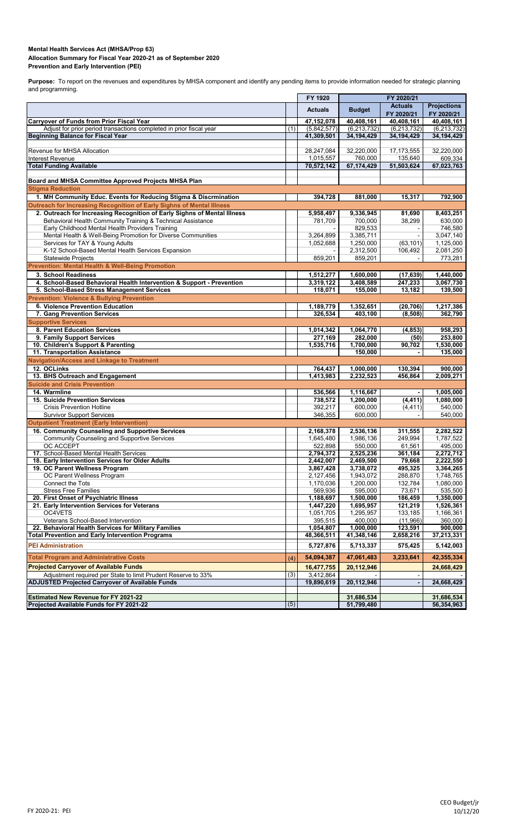### **Mental Health Services Act (MHSA/Prop 63) Prevention and Early Intervention (PEI) Allocation Summary for Fiscal Year 2020-21 as of September 2020**

**Purpose:** To report on the revenues and expenditures by MHSA component and identify any pending items to provide information needed for strategic planning and programming.

|                                                                                                                         |     | FY 1920                   |                             |                             |                             |
|-------------------------------------------------------------------------------------------------------------------------|-----|---------------------------|-----------------------------|-----------------------------|-----------------------------|
|                                                                                                                         |     | <b>Actuals</b>            | <b>Budget</b>               | <b>Actuals</b>              | <b>Projections</b>          |
|                                                                                                                         |     |                           |                             | FY 2020/21                  | FY 2020/21                  |
| <b>Carryover of Funds from Prior Fiscal Year</b><br>Adjust for prior period transactions completed in prior fiscal year | (1) | 47,152,078<br>(5,842,577) | 40,408,161<br>(6, 213, 732) | 40,408,161<br>(6, 213, 732) | 40,408,161<br>(6, 213, 732) |
| <b>Beginning Balance for Fiscal Year</b>                                                                                |     | 41,309,501                | 34,194,429                  | 34,194,429                  | 34,194,429                  |
|                                                                                                                         |     |                           |                             |                             |                             |
| Revenue for MHSA Allocation                                                                                             |     | 28,247,084                | 32,220,000                  | 17,173,555                  | 32,220,000                  |
| <b>Interest Revenue</b>                                                                                                 |     | 1,015,557                 | 760,000                     | 135,640                     | 609,334                     |
| <b>Total Funding Available</b>                                                                                          |     | 70,572,142                | 67,174,429                  | 51,503,624                  | 67,023,763                  |
| Board and MHSA Committee Approved Projects MHSA Plan                                                                    |     |                           |                             |                             |                             |
| <b>Stigma Reduction</b>                                                                                                 |     |                           |                             |                             |                             |
| 1. MH Community Educ. Events for Reducing Stigma & Discrmination                                                        |     | 394,728                   | 881,000                     | 15,317                      | 792,900                     |
| Outreach for Increasing Recognition of Early Sighns of Mental Illness                                                   |     |                           |                             |                             |                             |
| 2. Outreach for Increasing Recognition of Early Sighns of Mental Illness                                                |     | 5,958,497                 | 9,336,945                   | 81,690                      | 8,403,251                   |
| Behavioral Health Community Training & Technical Assistance                                                             |     | 781,709                   | 700,000                     | 38,299                      | 630,000                     |
| Early Childhood Mental Health Providers Training                                                                        |     |                           | 829,533                     |                             | 746,580                     |
| Mental Health & Well-Being Promotion for Diverse Communities                                                            |     | 3,264,899                 | 3,385,711                   |                             | 3,047,140                   |
| Services for TAY & Young Adults                                                                                         |     | 1,052,688                 | 1,250,000                   | (63, 101)                   | 1,125,000                   |
| K-12 School-Based Mental Health Services Expansion<br><b>Statewide Projects</b>                                         |     | 859,201                   | 2,312,500                   | 106,492                     | 2,081,250<br>773,281        |
| <b>Prevention: Mental Health &amp; Well-Being Promotion</b>                                                             |     |                           | 859,201                     |                             |                             |
| 3. School Readiness                                                                                                     |     | 1,512,277                 | 1,600,000                   | (17, 639)                   | 1,440,000                   |
| 4. School-Based Behavioral Health Intervention & Support - Prevention                                                   |     | 3,319,122                 | 3,408,589                   | 247,233                     | 3,067,730                   |
| 5. School-Based Stress Management Services                                                                              |     | 118,071                   | 155,000                     | 13,182                      | 139,500                     |
| <b>Prevention: Violence &amp; Bullying Prevention</b>                                                                   |     |                           |                             |                             |                             |
| 6. Violence Prevention Education                                                                                        |     | 1,189,779                 | 1,352,651                   | (20, 706)                   | 1,217,386                   |
| 7. Gang Prevention Services                                                                                             |     | 326,534                   | 403,100                     | (8,508)                     | 362,790                     |
| <b>Supportive Services</b>                                                                                              |     |                           |                             |                             |                             |
| 8. Parent Education Services                                                                                            |     | 1,014,342                 | 1,064,770                   | (4, 853)                    | 958,293                     |
| 9. Family Support Services                                                                                              |     | 277,169                   | 282,000                     | (50)                        | 253,800                     |
| 10. Children's Support & Parenting                                                                                      |     | 1,535,716                 | 1,700,000                   | 90,702                      | 1,530,000                   |
| 11. Transportation Assistance                                                                                           |     |                           | 150,000                     |                             | 135,000                     |
| <b>Navigation/Access and Linkage to Treatment</b>                                                                       |     |                           |                             |                             |                             |
| 12. OCLinks<br>13. BHS Outreach and Engagement                                                                          |     | 764,437<br>1,413,983      | 1,000,000<br>2,232,523      | 130,394<br>456,864          | 900,000<br>2,009,271        |
| <b>Suicide and Crisis Prevention</b>                                                                                    |     |                           |                             |                             |                             |
| 14. Warmline                                                                                                            |     | 536,566                   | 1,116,667                   |                             | 1,005,000                   |
| 15. Suicide Prevention Services                                                                                         |     | 738,572                   | 1,200,000                   | (4, 411)                    | 1,080,000                   |
| <b>Crisis Prevention Hotline</b>                                                                                        |     | 392,217                   | 600,000                     | (4, 411)                    | 540,000                     |
| <b>Survivor Support Services</b>                                                                                        |     | 346,355                   | 600,000                     |                             | 540,000                     |
| <b>Outpatient Treatment (Early Intervention)</b>                                                                        |     |                           |                             |                             |                             |
| 16. Community Counseling and Supportive Services                                                                        |     | 2,168,378                 | 2,536,136                   | 311,555                     | 2,282,522                   |
| <b>Community Counseling and Supportive Services</b>                                                                     |     | 1,645,480                 | 1,986,136                   | 249,994                     | 1,787,522                   |
| <b>OC ACCEPT</b>                                                                                                        |     | 522,898                   | 550,000                     | 61,561                      | 495,000                     |
| 17. School-Based Mental Health Services<br>18. Early Intervention Services for Older Adults                             |     | 2,794,372<br>2,442,007    | 2,525,236<br>2,469,500      | 361.184<br>79,668           | 2,272,712<br>2,222,550      |
| 19. OC Parent Wellness Program                                                                                          |     | 3,867,428                 | 3,738,072                   | 495,325                     | 3,364,265                   |
| OC Parent Wellness Program                                                                                              |     | 2,127,456                 | 1,943,072                   | 288,870                     | 1,748,765                   |
| <b>Connect the Tots</b>                                                                                                 |     | 1,170,036                 | 1,200,000                   | 132,784                     | 1,080,000                   |
| <b>Stress Free Families</b>                                                                                             |     | 569,936                   | 595,000                     | 73,671                      | 535,500                     |
| 20. First Onset of Psychiatric Illness                                                                                  |     | 1,188,697                 | 1,500,000                   | 186,459                     | 1,350,000                   |
| 21. Early Intervention Services for Veterans                                                                            |     | 1,447,220                 | 1,695,957                   | 121,219                     | 1,526,361                   |
| OC4VETS                                                                                                                 |     | 1,051,705                 | 1,295,957                   | 133,185                     | 1,166,361                   |
| Veterans School-Based Intervention                                                                                      |     | 395,515                   | 400,000                     | (11,966)                    | 360,000                     |
| 22. Behavioral Health Services for Military Families<br><b>Total Prevention and Early Intervention Programs</b>         |     | 1,054,807<br>48,366,511   | 1,000,000<br>41,348,146     | 123,591<br>2,658,216        | 900,000<br>37,213,331       |
| <b>PEI Administration</b>                                                                                               |     | 5,727,876                 | 5,713,337                   | 575,425                     | 5,142,003                   |
| <b>Total Program and Administrative Costs</b>                                                                           | (4) | 54,094,387                | 47,061,483                  | 3,233,641                   | 42,355,334                  |
| <b>Projected Carryover of Available Funds</b>                                                                           |     | 16,477,755                | 20,112,946                  |                             | 24,668,429                  |
| Adjustment required per State to limit Prudent Reserve to 33%                                                           | (3) | 3,412,864                 |                             | $\overline{\phantom{a}}$    |                             |
| <b>ADJUSTED Projected Carryover of Available Funds</b>                                                                  |     | 19,890,619                | 20,112,946                  | $\blacksquare$              | 24,668,429                  |
|                                                                                                                         |     |                           |                             |                             |                             |
| <b>Estimated New Revenue for FY 2021-22</b>                                                                             |     |                           | 31,686,534                  |                             | 31,686,534                  |
| Projected Available Funds for FY 2021-22                                                                                | (5) |                           | 51,799,480                  |                             | 56,354,963                  |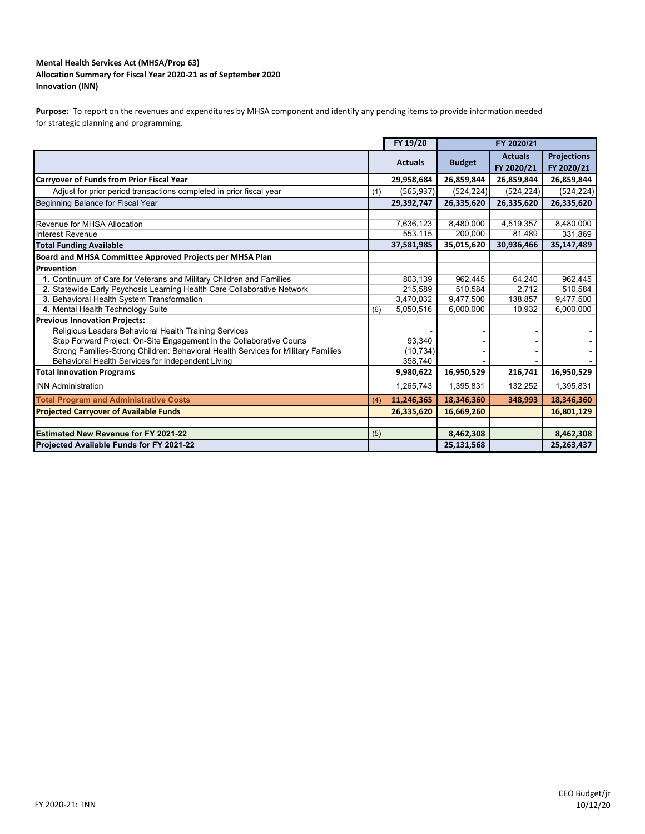#### **Mental Health Services Act (MHSA/Prop 63) Innovation (INN) Allocation Summary for Fiscal Year 2020‐21 as of September 2020**

Purpose: To report on the revenues and expenditures by MHSA component and identify any pending items to provide information needed for strategic planning and programming.

|                                                                                   |     | FY 19/20       | FY 2020/21    |                              |                                  |  |
|-----------------------------------------------------------------------------------|-----|----------------|---------------|------------------------------|----------------------------------|--|
|                                                                                   |     | <b>Actuals</b> | <b>Budget</b> | <b>Actuals</b><br>FY 2020/21 | <b>Projections</b><br>FY 2020/21 |  |
| <b>Carryover of Funds from Prior Fiscal Year</b>                                  |     | 29,958,684     | 26,859,844    | 26,859,844                   | 26,859,844                       |  |
| Adjust for prior period transactions completed in prior fiscal year               | (1) | (565, 937)     | (524,224)     | (524, 224)                   | (524, 224)                       |  |
| Beginning Balance for Fiscal Year                                                 |     | 29,392,747     | 26,335,620    | 26,335,620                   | 26,335,620                       |  |
| Revenue for MHSA Allocation                                                       |     | 7,636,123      | 8,480,000     | 4,519,357                    | 8,480,000                        |  |
| Interest Revenue                                                                  |     | 553,115        | 200,000       | 81,489                       | 331,869                          |  |
| <b>Total Funding Available</b>                                                    |     | 37,581,985     | 35,015,620    | 30,936,466                   | 35,147,489                       |  |
| Board and MHSA Committee Approved Projects per MHSA Plan                          |     |                |               |                              |                                  |  |
| Prevention                                                                        |     |                |               |                              |                                  |  |
| 1. Continuum of Care for Veterans and Military Children and Families              |     | 803,139        | 962,445       | 64,240                       | 962,445                          |  |
| 2. Statewide Early Psychosis Learning Health Care Collaborative Network           |     | 215,589        | 510,584       | 2,712                        | 510,584                          |  |
| 3. Behavioral Health System Transformation                                        |     | 3,470,032      | 9,477,500     | 138,857                      | 9,477,500                        |  |
| 4. Mental Health Technology Suite                                                 | (6) | 5.050.516      | 6,000,000     | 10,932                       | 6,000,000                        |  |
| <b>Previous Innovation Projects:</b>                                              |     |                |               |                              |                                  |  |
| Religious Leaders Behavioral Health Training Services                             |     |                |               |                              |                                  |  |
| Step Forward Project: On-Site Engagement in the Collaborative Courts              |     | 93,340         |               |                              |                                  |  |
| Strong Families-Strong Children: Behavioral Health Services for Military Families |     | (10, 734)      |               |                              |                                  |  |
| Behavioral Health Services for Independent Living                                 |     | 358,740        |               |                              |                                  |  |
| <b>Total Innovation Programs</b>                                                  |     | 9,980,622      | 16,950,529    | 216,741                      | 16,950,529                       |  |
| <b>INN Administration</b>                                                         |     | 1,265,743      | 1,395,831     | 132,252                      | 1,395,831                        |  |
| <b>Total Program and Administrative Costs</b>                                     | (4) | 11,246,365     | 18,346,360    | 348.993                      | 18,346,360                       |  |
| <b>Projected Carryover of Available Funds</b>                                     |     | 26,335,620     | 16,669,260    |                              | 16,801,129                       |  |
|                                                                                   |     |                |               |                              |                                  |  |
| <b>Estimated New Revenue for FY 2021-22</b>                                       | (5) |                | 8,462,308     |                              | 8,462,308                        |  |
| Projected Available Funds for FY 2021-22                                          |     |                | 25,131,568    |                              | 25,263,437                       |  |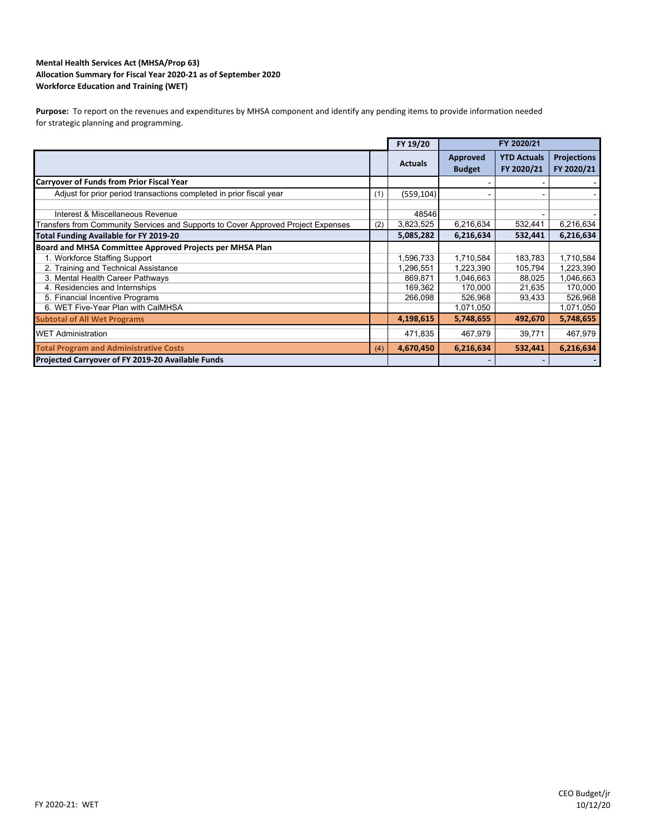## **Workforce Education and Training (WET) Mental Health Services Act (MHSA/Prop 63) Allocation Summary for Fiscal Year 2020‐21 as of September 2020**

Purpose: To report on the revenues and expenditures by MHSA component and identify any pending items to provide information needed for strategic planning and programming.

|                                                                                   |     | FY 19/20       | FY 2020/21      |                    |                    |
|-----------------------------------------------------------------------------------|-----|----------------|-----------------|--------------------|--------------------|
|                                                                                   |     | <b>Actuals</b> | <b>Approved</b> | <b>YTD Actuals</b> | <b>Projections</b> |
|                                                                                   |     |                | <b>Budget</b>   | FY 2020/21         | FY 2020/21         |
| <b>Carryover of Funds from Prior Fiscal Year</b>                                  |     |                |                 |                    |                    |
| Adjust for prior period transactions completed in prior fiscal year               | (1) | (559, 104)     |                 |                    |                    |
|                                                                                   |     |                |                 |                    |                    |
| Interest & Miscellaneous Revenue                                                  |     | 48546          |                 |                    |                    |
| Transfers from Community Services and Supports to Cover Approved Project Expenses | (2) | 3,823,525      | 6,216,634       | 532,441            | 6,216,634          |
| Total Funding Available for FY 2019-20                                            |     | 5,085,282      | 6,216,634       | 532,441            | 6,216,634          |
| Board and MHSA Committee Approved Projects per MHSA Plan                          |     |                |                 |                    |                    |
| 1. Workforce Staffing Support                                                     |     | 1,596,733      | 1,710,584       | 183,783            | 1,710,584          |
| 2. Training and Technical Assistance                                              |     | 1,296,551      | 1,223,390       | 105,794            | 1,223,390          |
| 3. Mental Health Career Pathways                                                  |     | 869.871        | 1,046,663       | 88,025             | 1,046,663          |
| 4. Residencies and Internships                                                    |     | 169,362        | 170,000         | 21,635             | 170,000            |
| 5. Financial Incentive Programs                                                   |     | 266,098        | 526,968         | 93,433             | 526,968            |
| 6. WET Five-Year Plan with CalMHSA                                                |     |                | 1,071,050       |                    | 1,071,050          |
| <b>Subtotal of All Wet Programs</b>                                               |     | 4,198,615      | 5,748,655       | 492,670            | 5,748,655          |
| <b>WET Administration</b>                                                         |     | 471,835        | 467,979         | 39,771             | 467,979            |
| <b>Total Program and Administrative Costs</b>                                     | (4) | 4,670,450      | 6,216,634       | 532,441            | 6,216,634          |
| Projected Carryover of FY 2019-20 Available Funds                                 |     |                |                 |                    |                    |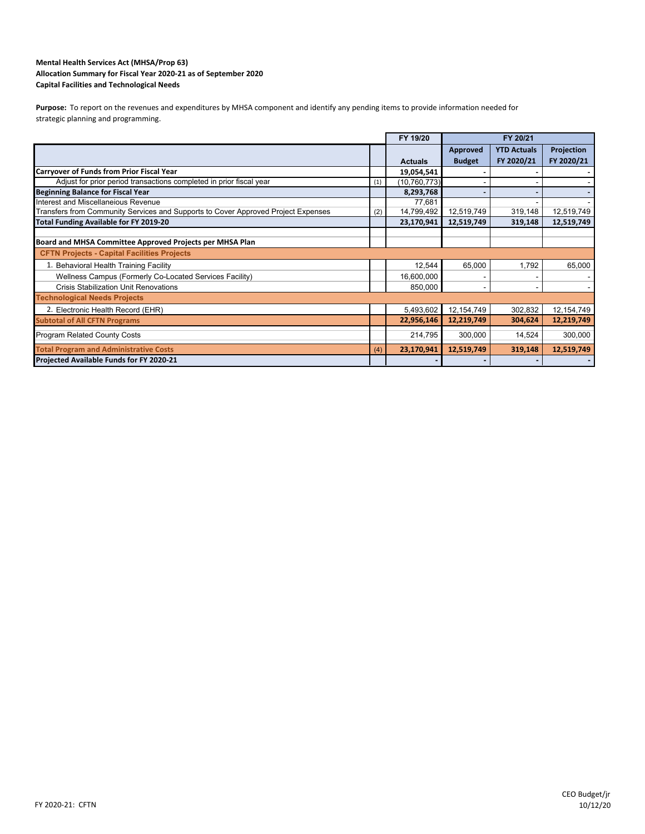#### **Mental Health Services Act (MHSA/Prop 63) Allocation Summary for Fiscal Year 2020‐21 as of September 2020 Capital Facilities and Technological Needs**

Purpose: To report on the revenues and expenditures by MHSA component and identify any pending items to provide information needed for strategic planning and programming.

|                                                                                   |     | FY 19/20<br>FY 20/21 |                |                    |              |
|-----------------------------------------------------------------------------------|-----|----------------------|----------------|--------------------|--------------|
|                                                                                   |     |                      | Approved       | <b>YTD Actuals</b> | Projection   |
|                                                                                   |     | <b>Actuals</b>       | <b>Budget</b>  | FY 2020/21         | FY 2020/21   |
| <b>Carryover of Funds from Prior Fiscal Year</b>                                  |     | 19,054,541           |                |                    |              |
| Adjust for prior period transactions completed in prior fiscal year               | (1) | (10, 760, 773)       |                |                    |              |
| <b>Beginning Balance for Fiscal Year</b>                                          |     | 8,293,768            |                |                    |              |
| Interest and Miscellaneious Revenue                                               |     | 77,681               |                |                    |              |
| Transfers from Community Services and Supports to Cover Approved Project Expenses | (2) | 14,799,492           | 12,519,749     | 319,148            | 12,519,749   |
| <b>Total Funding Available for FY 2019-20</b>                                     |     | 23,170,941           | 12,519,749     | 319,148            | 12,519,749   |
|                                                                                   |     |                      |                |                    |              |
| Board and MHSA Committee Approved Projects per MHSA Plan                          |     |                      |                |                    |              |
| <b>CFTN Projects - Capital Facilities Projects</b>                                |     |                      |                |                    |              |
| 1. Behavioral Health Training Facility                                            |     | 12.544               | 65,000         | 1,792              | 65,000       |
| Wellness Campus (Formerly Co-Located Services Facility)                           |     | 16,600,000           |                |                    |              |
| <b>Crisis Stabilization Unit Renovations</b>                                      |     | 850,000              |                |                    |              |
| <b>Technological Needs Projects</b>                                               |     |                      |                |                    |              |
| 2. Electronic Health Record (EHR)                                                 |     | 5,493,602            | 12,154,749     | 302,832            | 12, 154, 749 |
| <b>Subtotal of All CFTN Programs</b>                                              |     | 22,956,146           | 12,219,749     | 304,624            | 12,219,749   |
| <b>Program Related County Costs</b>                                               |     | 214,795              | 300,000        | 14,524             | 300,000      |
| <b>Total Program and Administrative Costs</b>                                     | (4) | 23,170,941           | 12,519,749     | 319,148            | 12,519,749   |
| Projected Available Funds for FY 2020-21                                          |     |                      | $\blacksquare$ |                    |              |